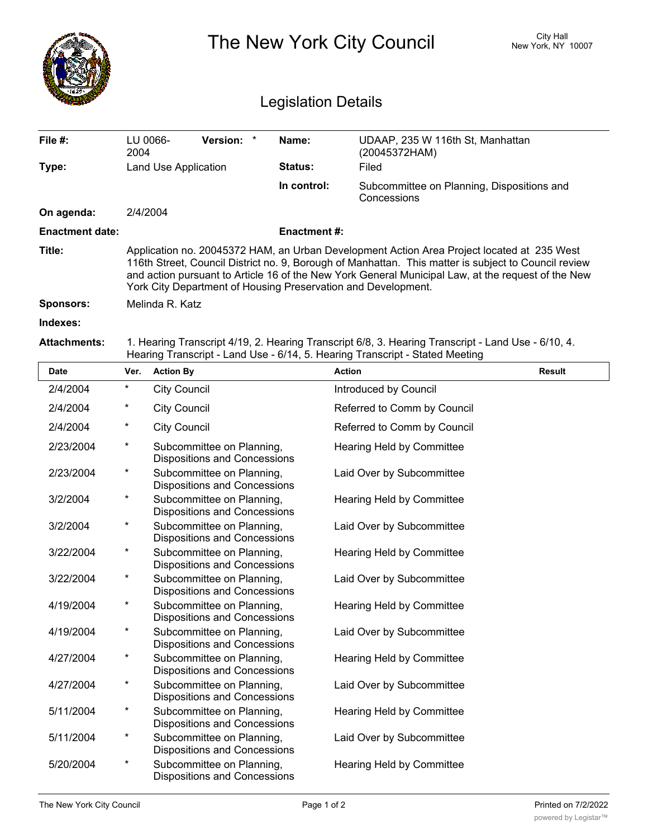|                            |                                                                                                                                                                                                                                                                                                                                                                           |                                                                  |                    | The New York City Council                                                                                                                                                          | City Hall<br>New York, NY 10007 |  |  |  |
|----------------------------|---------------------------------------------------------------------------------------------------------------------------------------------------------------------------------------------------------------------------------------------------------------------------------------------------------------------------------------------------------------------------|------------------------------------------------------------------|--------------------|------------------------------------------------------------------------------------------------------------------------------------------------------------------------------------|---------------------------------|--|--|--|
| <b>Legislation Details</b> |                                                                                                                                                                                                                                                                                                                                                                           |                                                                  |                    |                                                                                                                                                                                    |                                 |  |  |  |
| File #:                    | 2004                                                                                                                                                                                                                                                                                                                                                                      | LU 0066-<br>Version:<br>$\ast$                                   | Name:              | UDAAP, 235 W 116th St, Manhattan<br>(20045372HAM)                                                                                                                                  |                                 |  |  |  |
| Type:                      |                                                                                                                                                                                                                                                                                                                                                                           | Land Use Application                                             | <b>Status:</b>     | Filed                                                                                                                                                                              |                                 |  |  |  |
|                            |                                                                                                                                                                                                                                                                                                                                                                           |                                                                  | In control:        | Subcommittee on Planning, Dispositions and<br>Concessions                                                                                                                          |                                 |  |  |  |
| On agenda:                 | 2/4/2004                                                                                                                                                                                                                                                                                                                                                                  |                                                                  |                    |                                                                                                                                                                                    |                                 |  |  |  |
| <b>Enactment date:</b>     |                                                                                                                                                                                                                                                                                                                                                                           |                                                                  | <b>Enactment#:</b> |                                                                                                                                                                                    |                                 |  |  |  |
| Title:                     | Application no. 20045372 HAM, an Urban Development Action Area Project located at 235 West<br>116th Street, Council District no. 9, Borough of Manhattan. This matter is subject to Council review<br>and action pursuant to Article 16 of the New York General Municipal Law, at the request of the New<br>York City Department of Housing Preservation and Development. |                                                                  |                    |                                                                                                                                                                                    |                                 |  |  |  |
| <b>Sponsors:</b>           |                                                                                                                                                                                                                                                                                                                                                                           | Melinda R. Katz                                                  |                    |                                                                                                                                                                                    |                                 |  |  |  |
| Indexes:                   |                                                                                                                                                                                                                                                                                                                                                                           |                                                                  |                    |                                                                                                                                                                                    |                                 |  |  |  |
| <b>Attachments:</b>        |                                                                                                                                                                                                                                                                                                                                                                           |                                                                  |                    | 1. Hearing Transcript 4/19, 2. Hearing Transcript 6/8, 3. Hearing Transcript - Land Use - 6/10, 4.<br>Hearing Transcript - Land Use - 6/14, 5. Hearing Transcript - Stated Meeting |                                 |  |  |  |
| Date                       | Ver.                                                                                                                                                                                                                                                                                                                                                                      | <b>Action By</b>                                                 |                    | <b>Action</b>                                                                                                                                                                      | Result                          |  |  |  |
| 2/4/2004                   | $^\star$                                                                                                                                                                                                                                                                                                                                                                  | <b>City Council</b>                                              |                    | Introduced by Council                                                                                                                                                              |                                 |  |  |  |
| 2/4/2004                   | *                                                                                                                                                                                                                                                                                                                                                                         | <b>City Council</b>                                              |                    | Referred to Comm by Council                                                                                                                                                        |                                 |  |  |  |
| 2/4/2004                   | *                                                                                                                                                                                                                                                                                                                                                                         | <b>City Council</b>                                              |                    | Referred to Comm by Council                                                                                                                                                        |                                 |  |  |  |
| 2/23/2004                  | $^\star$                                                                                                                                                                                                                                                                                                                                                                  | Subcommittee on Planning,<br><b>Dispositions and Concessions</b> |                    | <b>Hearing Held by Committee</b>                                                                                                                                                   |                                 |  |  |  |
| 2/23/2004                  | *                                                                                                                                                                                                                                                                                                                                                                         | Subcommittee on Planning,<br><b>Dispositions and Concessions</b> |                    | Laid Over by Subcommittee                                                                                                                                                          |                                 |  |  |  |
| 3/2/2004                   | *                                                                                                                                                                                                                                                                                                                                                                         | Subcommittee on Planning,<br><b>Dispositions and Concessions</b> |                    | Hearing Held by Committee                                                                                                                                                          |                                 |  |  |  |
| 3/2/2004                   | $^\star$                                                                                                                                                                                                                                                                                                                                                                  | Subcommittee on Planning,<br>Dispositions and Concessions        |                    | Laid Over by Subcommittee                                                                                                                                                          |                                 |  |  |  |
| 3/22/2004                  | $\ast$                                                                                                                                                                                                                                                                                                                                                                    | Subcommittee on Planning,<br><b>Dispositions and Concessions</b> |                    | Hearing Held by Committee                                                                                                                                                          |                                 |  |  |  |
| 3/22/2004                  | $\star$                                                                                                                                                                                                                                                                                                                                                                   | Subcommittee on Planning,<br><b>Dispositions and Concessions</b> |                    | Laid Over by Subcommittee                                                                                                                                                          |                                 |  |  |  |
| 4/19/2004                  | $\ast$                                                                                                                                                                                                                                                                                                                                                                    | Subcommittee on Planning,<br><b>Dispositions and Concessions</b> |                    | Hearing Held by Committee                                                                                                                                                          |                                 |  |  |  |
| 4/19/2004                  | $\ast$                                                                                                                                                                                                                                                                                                                                                                    | Subcommittee on Planning,<br>Dispositions and Concessions        |                    | Laid Over by Subcommittee                                                                                                                                                          |                                 |  |  |  |
| 4/27/2004                  | $\star$                                                                                                                                                                                                                                                                                                                                                                   | Subcommittee on Planning,<br><b>Dispositions and Concessions</b> |                    | Hearing Held by Committee                                                                                                                                                          |                                 |  |  |  |
| 4/27/2004                  | $\star$                                                                                                                                                                                                                                                                                                                                                                   | Subcommittee on Planning,<br>Dispositions and Concessions        |                    | Laid Over by Subcommittee                                                                                                                                                          |                                 |  |  |  |
| 5/11/2004                  | $\ast$                                                                                                                                                                                                                                                                                                                                                                    | Subcommittee on Planning,<br><b>Dispositions and Concessions</b> |                    | Hearing Held by Committee                                                                                                                                                          |                                 |  |  |  |
| 5/11/2004                  | $\star$                                                                                                                                                                                                                                                                                                                                                                   | Subcommittee on Planning,<br><b>Dispositions and Concessions</b> |                    | Laid Over by Subcommittee                                                                                                                                                          |                                 |  |  |  |
| 5/20/2004                  | $\ast$                                                                                                                                                                                                                                                                                                                                                                    | Subcommittee on Planning,<br>Dispositions and Concessions        |                    | Hearing Held by Committee                                                                                                                                                          |                                 |  |  |  |